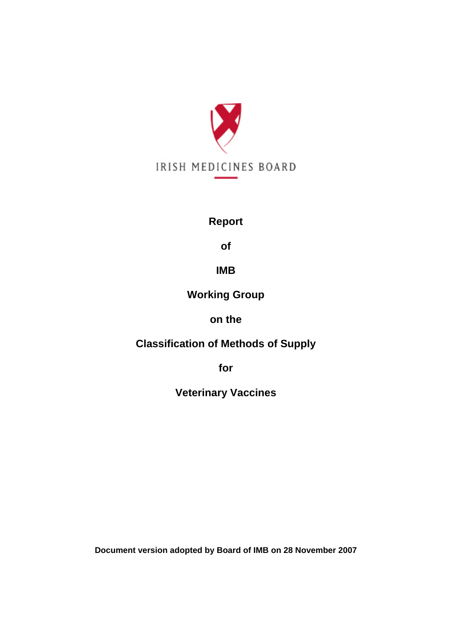

# **Report**

**of** 

# **IMB**

# **Working Group**

# **on the**

# **Classification of Methods of Supply**

**for** 

**Veterinary Vaccines** 

**Document version adopted by Board of IMB on 28 November 2007**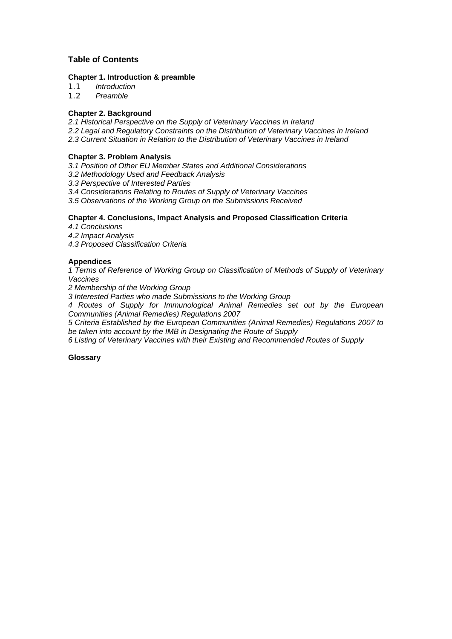## **Table of Contents**

## **Chapter 1. Introduction & preamble**

*1.1 Introduction* 

*1.2 Preamble* 

## **Chapter 2. Background**

*2.1 Historical Perspective on the Supply of Veterinary Vaccines in Ireland* 

- *2.2 Legal and Regulatory Constraints on the Distribution of Veterinary Vaccines in Ireland*
- *2.3 Current Situation in Relation to the Distribution of Veterinary Vaccines in Ireland*

## **Chapter 3. Problem Analysis**

*3.1 Position of Other EU Member States and Additional Considerations* 

*3.2 Methodology Used and Feedback Analysis* 

*3.3 Perspective of Interested Parties*

*3.4 Considerations Relating to Routes of Supply of Veterinary Vaccines* 

*3.5 Observations of the Working Group on the Submissions Received* 

## **Chapter 4. Conclusions, Impact Analysis and Proposed Classification Criteria**

*4.1 Conclusions* 

*4.2 Impact Analysis* 

*4.3 Proposed Classification Criteria* 

## **Appendices**

*1 Terms of Reference of Working Group on Classification of Methods of Supply of Veterinary Vaccines* 

*2 Membership of the Working Group* 

*3 Interested Parties who made Submissions to the Working Group* 

*4 Routes of Supply for Immunological Animal Remedies set out by the European Communities (Animal Remedies) Regulations 2007* 

*5 Criteria Established by the European Communities (Animal Remedies) Regulations 2007 to be taken into account by the IMB in Designating the Route of Supply* 

*6 Listing of Veterinary Vaccines with their Existing and Recommended Routes of Supply* 

#### **Glossary**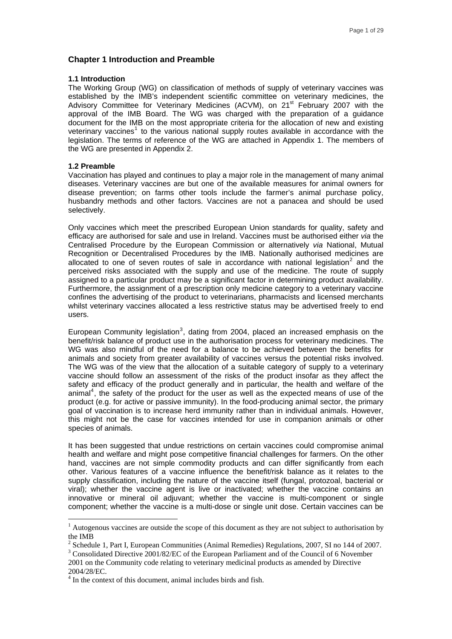#### **Chapter 1 Introduction and Preamble**

#### **1.1 Introduction**

The Working Group (WG) on classification of methods of supply of veterinary vaccines was established by the IMB's independent scientific committee on veterinary medicines, the Advisory Committee for Veterinary Medicines (ACVM), on 21<sup>st</sup> February 2007 with the approval of the IMB Board. The WG was charged with the preparation of a guidance document for the IMB on the most appropriate criteria for the allocation of new and existing veterinary vaccines<sup>[1](#page-2-0)</sup> to the various national supply routes available in accordance with the legislation. The terms of reference of the WG are attached in Appendix 1. The members of the WG are presented in Appendix 2.

#### **1.2 Preamble**

 $\overline{a}$ 

Vaccination has played and continues to play a major role in the management of many animal diseases. Veterinary vaccines are but one of the available measures for animal owners for disease prevention; on farms other tools include the farmer's animal purchase policy, husbandry methods and other factors. Vaccines are not a panacea and should be used selectively.

Only vaccines which meet the prescribed European Union standards for quality, safety and efficacy are authorised for sale and use in Ireland. Vaccines must be authorised either *via* the Centralised Procedure by the European Commission or alternatively *via* National, Mutual Recognition or Decentralised Procedures by the IMB. Nationally authorised medicines are allocated to one of seven routes of sale in accordance with national legislation<sup>[2](#page-2-1)</sup> and the perceived risks associated with the supply and use of the medicine. The route of supply assigned to a particular product may be a significant factor in determining product availability. Furthermore, the assignment of a prescription only medicine category to a veterinary vaccine confines the advertising of the product to veterinarians, pharmacists and licensed merchants whilst veterinary vaccines allocated a less restrictive status may be advertised freely to end users.

European Community legislation<sup>[3](#page-2-2)</sup>, dating from 2004, placed an increased emphasis on the benefit/risk balance of product use in the authorisation process for veterinary medicines. The WG was also mindful of the need for a balance to be achieved between the benefits for animals and society from greater availability of vaccines versus the potential risks involved. The WG was of the view that the allocation of a suitable category of supply to a veterinary vaccine should follow an assessment of the risks of the product insofar as they affect the safety and efficacy of the product generally and in particular, the health and welfare of the animal<sup>[4](#page-2-3)</sup>, the safety of the product for the user as well as the expected means of use of the product (e.g. for active or passive immunity). In the food-producing animal sector, the primary goal of vaccination is to increase herd immunity rather than in individual animals. However, this might not be the case for vaccines intended for use in companion animals or other species of animals.

It has been suggested that undue restrictions on certain vaccines could compromise animal health and welfare and might pose competitive financial challenges for farmers. On the other hand, vaccines are not simple commodity products and can differ significantly from each other. Various features of a vaccine influence the benefit/risk balance as it relates to the supply classification, including the nature of the vaccine itself (fungal, protozoal, bacterial or viral); whether the vaccine agent is live or inactivated; whether the vaccine contains an innovative or mineral oil adjuvant; whether the vaccine is multi-component or single component; whether the vaccine is a multi-dose or single unit dose. Certain vaccines can be

 $<sup>1</sup>$  Autogenous vaccines are outside the scope of this document as they are not subject to authorisation by</sup> the IMB

 $2^2$  Schedule 1, Part I, European Communities (Animal Remedies) Regulations, 2007, SI no 144 of 2007.

<sup>&</sup>lt;sup>3</sup> Consolidated Directive 2001/82/EC of the European Parliament and of the Council of 6 November 2001 on the Community code relating to veterinary medicinal products as amended by Directive 2004/28/EC.

<span id="page-2-3"></span><span id="page-2-2"></span><span id="page-2-1"></span><span id="page-2-0"></span><sup>&</sup>lt;sup>4</sup> In the context of this document, animal includes birds and fish.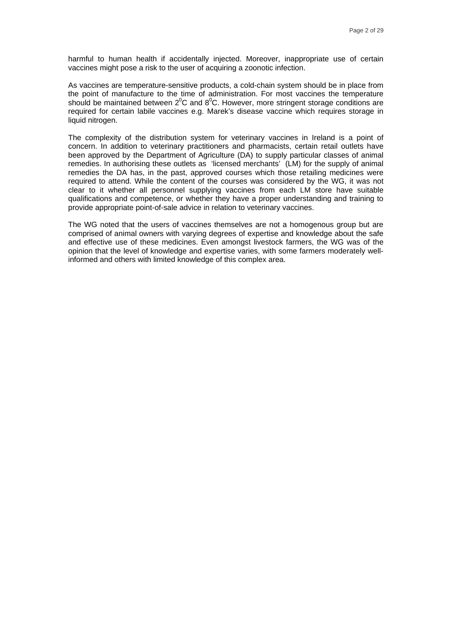harmful to human health if accidentally injected. Moreover, inappropriate use of certain vaccines might pose a risk to the user of acquiring a zoonotic infection.

As vaccines are temperature-sensitive products, a cold-chain system should be in place from the point of manufacture to the time of administration. For most vaccines the temperature should be maintained between  $2^{0}$ C and  $8^{0}$ C. However, more stringent storage conditions are required for certain labile vaccines e.g. Marek's disease vaccine which requires storage in liquid nitrogen.

The complexity of the distribution system for veterinary vaccines in Ireland is a point of concern. In addition to veterinary practitioners and pharmacists, certain retail outlets have been approved by the Department of Agriculture (DA) to supply particular classes of animal remedies. In authorising these outlets as 'licensed merchants' (LM) for the supply of animal remedies the DA has, in the past, approved courses which those retailing medicines were required to attend. While the content of the courses was considered by the WG, it was not clear to it whether all personnel supplying vaccines from each LM store have suitable qualifications and competence, or whether they have a proper understanding and training to provide appropriate point-of-sale advice in relation to veterinary vaccines.

The WG noted that the users of vaccines themselves are not a homogenous group but are comprised of animal owners with varying degrees of expertise and knowledge about the safe and effective use of these medicines. Even amongst livestock farmers, the WG was of the opinion that the level of knowledge and expertise varies, with some farmers moderately wellinformed and others with limited knowledge of this complex area.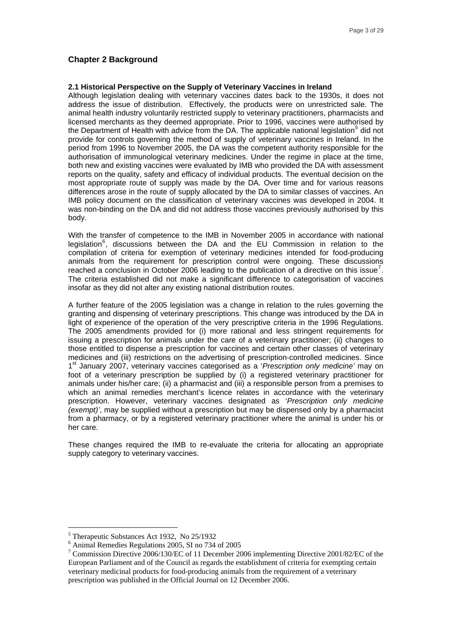#### <span id="page-4-0"></span>**Chapter 2 Background**

#### **2.1 Historical Perspective on the Supply of Veterinary Vaccines in Ireland**

Although legislation dealing with veterinary vaccines dates back to the 1930s, it does not address the issue of distribution. Effectively, the products were on unrestricted sale. The animal health industry voluntarily restricted supply to veterinary practitioners, pharmacists and licensed merchants as they deemed appropriate. Prior to 1996, vaccines were authorised by the Department of Health with advice from the DA. The applicable national legislation<sup>[5](#page-4-0)</sup> did not provide for controls governing the method of supply of veterinary vaccines in Ireland. In the period from 1996 to November 2005, the DA was the competent authority responsible for the authorisation of immunological veterinary medicines. Under the regime in place at the time, both new and existing vaccines were evaluated by IMB who provided the DA with assessment reports on the quality, safety and efficacy of individual products. The eventual decision on the most appropriate route of supply was made by the DA. Over time and for various reasons differences arose in the route of supply allocated by the DA to similar classes of vaccines. An IMB policy document on the classification of veterinary vaccines was developed in 2004. It was non-binding on the DA and did not address those vaccines previously authorised by this body.

With the transfer of competence to the IMB in November 2005 in accordance with national legislation<sup>[6](#page-4-0)</sup>, discussions between the DA and the EU Commission in relation to the compilation of criteria for exemption of veterinary medicines intended for food-producing animals from the requirement for prescription control were ongoing. These discussions reached a conclusion in October 2006 leading to the publication of a directive on this issue<sup>[7](#page-4-0)</sup>. The criteria established did not make a significant difference to categorisation of vaccines insofar as they did not alter any existing national distribution routes.

A further feature of the 2005 legislation was a change in relation to the rules governing the granting and dispensing of veterinary prescriptions. This change was introduced by the DA in light of experience of the operation of the very prescriptive criteria in the 1996 Regulations. The 2005 amendments provided for (i) more rational and less stringent requirements for issuing a prescription for animals under the care of a veterinary practitioner; (ii) changes to those entitled to dispense a prescription for vaccines and certain other classes of veterinary medicines and (iii) restrictions on the advertising of prescription-controlled medicines. Since 1st January 2007, veterinary vaccines categorised as a '*Prescription only medicine'* may on foot of a veterinary prescription be supplied by (i) a registered veterinary practitioner for animals under his/her care; (ii) a pharmacist and (iii) a responsible person from a premises to which an animal remedies merchant's licence relates in accordance with the veterinary prescription. However, veterinary vaccines designated as '*Prescription only medicine (exempt)'*, may be supplied without a prescription but may be dispensed only by a pharmacist from a pharmacy, or by a registered veterinary practitioner where the animal is under his or her care.

These changes required the IMB to re-evaluate the criteria for allocating an appropriate supply category to veterinary vaccines.

 $\overline{a}$ 

<sup>5</sup> Therapeutic Substances Act 1932, No 25/1932

<sup>6</sup> Animal Remedies Regulations 2005, SI no 734 of 2005

<sup>&</sup>lt;sup>7</sup> Commission Directive 2006/130/EC of 11 December 2006 implementing Directive 2001/82/EC of the European Parliament and of the Council as regards the establishment of criteria for exempting certain veterinary medicinal products for food-producing animals from the requirement of a veterinary prescription was published in the Official Journal on 12 December 2006.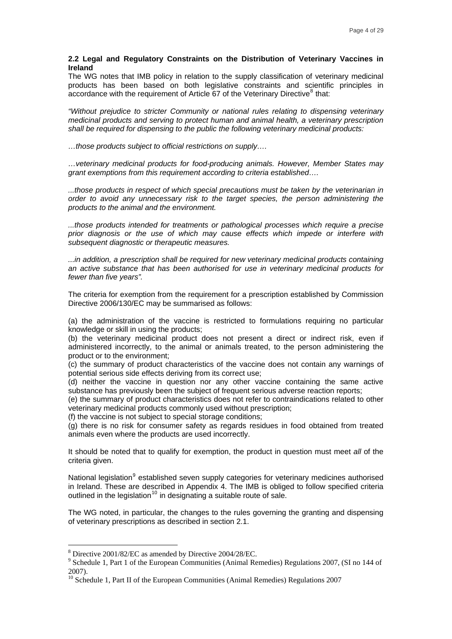#### <span id="page-5-0"></span>**2.2 Legal and Regulatory Constraints on the Distribution of Veterinary Vaccines in Ireland**

The WG notes that IMB policy in relation to the supply classification of veterinary medicinal products has been based on both legislative constraints and scientific principles in accordance with the requirement of Article  $67$  of the Veterinary Directive<sup>[8](#page-5-0)</sup> that:

*"Without prejudice to stricter Community or national rules relating to dispensing veterinary medicinal products and serving to protect human and animal health, a veterinary prescription shall be required for dispensing to the public the following veterinary medicinal products:* 

*…those products subject to official restrictions on supply….* 

*…veterinary medicinal products for food-producing animals. However, Member States may grant exemptions from this requirement according to criteria established….* 

*...those products in respect of which special precautions must be taken by the veterinarian in order to avoid any unnecessary risk to the target species, the person administering the products to the animal and the environment.* 

*...those products intended for treatments or pathological processes which require a precise prior diagnosis or the use of which may cause effects which impede or interfere with subsequent diagnostic or therapeutic measures.* 

*...in addition, a prescription shall be required for new veterinary medicinal products containing an active substance that has been authorised for use in veterinary medicinal products for fewer than five years".* 

The criteria for exemption from the requirement for a prescription established by Commission Directive 2006/130/EC may be summarised as follows:

(a) the administration of the vaccine is restricted to formulations requiring no particular knowledge or skill in using the products;

(b) the veterinary medicinal product does not present a direct or indirect risk, even if administered incorrectly, to the animal or animals treated, to the person administering the product or to the environment;

(c) the summary of product characteristics of the vaccine does not contain any warnings of potential serious side effects deriving from its correct use;

(d) neither the vaccine in question nor any other vaccine containing the same active substance has previously been the subject of frequent serious adverse reaction reports;

(e) the summary of product characteristics does not refer to contraindications related to other veterinary medicinal products commonly used without prescription;

(f) the vaccine is not subject to special storage conditions;

(g) there is no risk for consumer safety as regards residues in food obtained from treated animals even where the products are used incorrectly.

It should be noted that to qualify for exemption, the product in question must meet *all* of the criteria given.

National legislation<sup>[9](#page-5-0)</sup> established seven supply categories for veterinary medicines authorised in Ireland. These are described in Appendix 4. The IMB is obliged to follow specified criteria outlined in the legislation<sup>[10](#page-5-0)</sup> in designating a suitable route of sale.

The WG noted, in particular, the changes to the rules governing the granting and dispensing of veterinary prescriptions as described in section 2.1.

 $\overline{a}$ 

<sup>8</sup> Directive 2001/82/EC as amended by Directive 2004/28/EC.

<sup>&</sup>lt;sup>9</sup> Schedule 1, Part 1 of the European Communities (Animal Remedies) Regulations 2007, (SI no 144 of 2007).

<sup>&</sup>lt;sup>10</sup> Schedule 1, Part II of the European Communities (Animal Remedies) Regulations 2007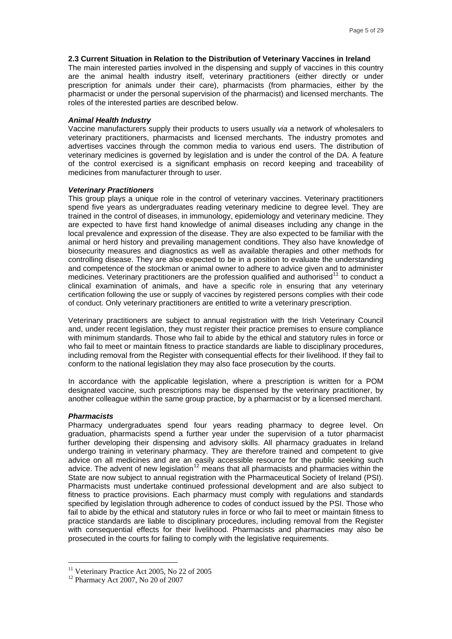#### <span id="page-6-0"></span>**2.3 Current Situation in Relation to the Distribution of Veterinary Vaccines in Ireland**

The main interested parties involved in the dispensing and supply of vaccines in this country are the animal health industry itself, veterinary practitioners (either directly or under prescription for animals under their care), pharmacists (from pharmacies, either by the pharmacist or under the personal supervision of the pharmacist) and licensed merchants. The roles of the interested parties are described below.

#### *Animal Health Industry*

Vaccine manufacturers supply their products to users usually *via* a network of wholesalers to veterinary practitioners, pharmacists and licensed merchants. The industry promotes and advertises vaccines through the common media to various end users. The distribution of veterinary medicines is governed by legislation and is under the control of the DA. A feature of the control exercised is a significant emphasis on record keeping and traceability of medicines from manufacturer through to user.

#### *Veterinary Practitioners*

This group plays a unique role in the control of veterinary vaccines. Veterinary practitioners spend five years as undergraduates reading veterinary medicine to degree level. They are trained in the control of diseases, in immunology, epidemiology and veterinary medicine. They are expected to have first hand knowledge of animal diseases including any change in the local prevalence and expression of the disease. They are also expected to be familiar with the animal or herd history and prevailing management conditions. They also have knowledge of biosecurity measures and diagnostics as well as available therapies and other methods for controlling disease. They are also expected to be in a position to evaluate the understanding and competence of the stockman or animal owner to adhere to advice given and to administer medicines. Veterinary practitioners are the profession qualified and authorised<sup>[11](#page-6-0)</sup> to conduct a clinical examination of animals, and have a specific role in ensuring that any veterinary certification following the use or supply of vaccines by registered persons complies with their code of conduct. Only veterinary practitioners are entitled to write a veterinary prescription.

Veterinary practitioners are subject to annual registration with the Irish Veterinary Council and, under recent legislation, they must register their practice premises to ensure compliance with minimum standards. Those who fail to abide by the ethical and statutory rules in force or who fail to meet or maintain fitness to practice standards are liable to disciplinary procedures, including removal from the Register with consequential effects for their livelihood. If they fail to conform to the national legislation they may also face prosecution by the courts.

In accordance with the applicable legislation, where a prescription is written for a POM designated vaccine, such prescriptions may be dispensed by the veterinary practitioner, by another colleague within the same group practice, by a pharmacist or by a licensed merchant.

#### *Pharmacists*

 $\overline{a}$ 

Pharmacy undergraduates spend four years reading pharmacy to degree level. On graduation, pharmacists spend a further year under the supervision of a tutor pharmacist further developing their dispensing and advisory skills. All pharmacy graduates in Ireland undergo training in veterinary pharmacy. They are therefore trained and competent to give advice on all medicines and are an easily accessible resource for the public seeking such advice. The advent of new legislation<sup>[12](#page-6-0)</sup> means that all pharmacists and pharmacies within the State are now subject to annual registration with the Pharmaceutical Society of Ireland (PSI). Pharmacists must undertake continued professional development and are also subject to fitness to practice provisions. Each pharmacy must comply with regulations and standards specified by legislation through adherence to codes of conduct issued by the PSI. Those who fail to abide by the ethical and statutory rules in force or who fail to meet or maintain fitness to practice standards are liable to disciplinary procedures, including removal from the Register with consequential effects for their livelihood. Pharmacists and pharmacies may also be prosecuted in the courts for failing to comply with the legislative requirements.

<sup>&</sup>lt;sup>11</sup> Veterinary Practice Act 2005, No 22 of 2005

<sup>12</sup> Pharmacy Act 2007, No 20 of 2007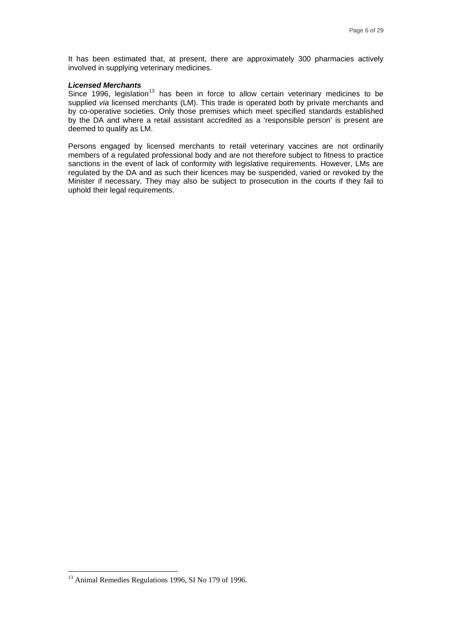<span id="page-7-0"></span>It has been estimated that, at present, there are approximately 300 pharmacies actively involved in supplying veterinary medicines.

#### *Licensed Merchants*

Since 1996, legislation<sup>[13](#page-7-0)</sup> has been in force to allow certain veterinary medicines to be supplied *via* licensed merchants (LM). This trade is operated both by private merchants and by co-operative societies. Only those premises which meet specified standards established by the DA and where a retail assistant accredited as a 'responsible person' is present are deemed to qualify as LM.

Persons engaged by licensed merchants to retail veterinary vaccines are not ordinarily members of a regulated professional body and are not therefore subject to fitness to practice sanctions in the event of lack of conformity with legislative requirements. However, LMs are regulated by the DA and as such their licences may be suspended, varied or revoked by the Minister if necessary. They may also be subject to prosecution in the courts if they fail to uphold their legal requirements.

 $\overline{a}$ 

<sup>&</sup>lt;sup>13</sup> Animal Remedies Regulations 1996, SI No 179 of 1996.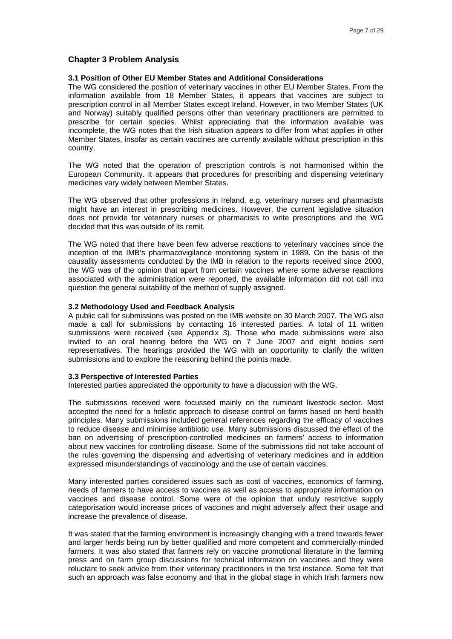#### **Chapter 3 Problem Analysis**

#### **3.1 Position of Other EU Member States and Additional Considerations**

The WG considered the position of veterinary vaccines in other EU Member States. From the information available from 18 Member States, it appears that vaccines are subject to prescription control in all Member States except Ireland. However, in two Member States (UK and Norway) suitably qualified persons other than veterinary practitioners are permitted to prescribe for certain species. Whilst appreciating that the information available was incomplete, the WG notes that the Irish situation appears to differ from what applies in other Member States, insofar as certain vaccines are currently available without prescription in this country.

The WG noted that the operation of prescription controls is not harmonised within the European Community. It appears that procedures for prescribing and dispensing veterinary medicines vary widely between Member States.

The WG observed that other professions in Ireland, e.g. veterinary nurses and pharmacists might have an interest in prescribing medicines. However, the current legislative situation does not provide for veterinary nurses or pharmacists to write prescriptions and the WG decided that this was outside of its remit.

The WG noted that there have been few adverse reactions to veterinary vaccines since the inception of the IMB's pharmacovigilance monitoring system in 1989. On the basis of the causality assessments conducted by the IMB in relation to the reports received since 2000, the WG was of the opinion that apart from certain vaccines where some adverse reactions associated with the administration were reported, the available information did not call into question the general suitability of the method of supply assigned.

#### **3.2 Methodology Used and Feedback Analysis**

A public call for submissions was posted on the IMB website on 30 March 2007. The WG also made a call for submissions by contacting 16 interested parties. A total of 11 written submissions were received (see Appendix 3). Those who made submissions were also invited to an oral hearing before the WG on 7 June 2007 and eight bodies sent representatives. The hearings provided the WG with an opportunity to clarify the written submissions and to explore the reasoning behind the points made.

#### **3.3 Perspective of Interested Parties**

Interested parties appreciated the opportunity to have a discussion with the WG.

The submissions received were focussed mainly on the ruminant livestock sector. Most accepted the need for a holistic approach to disease control on farms based on herd health principles. Many submissions included general references regarding the efficacy of vaccines to reduce disease and minimise antibiotic use. Many submissions discussed the effect of the ban on advertising of prescription-controlled medicines on farmers' access to information about new vaccines for controlling disease. Some of the submissions did not take account of the rules governing the dispensing and advertising of veterinary medicines and in addition expressed misunderstandings of vaccinology and the use of certain vaccines.

Many interested parties considered issues such as cost of vaccines, economics of farming, needs of farmers to have access to vaccines as well as access to appropriate information on vaccines and disease control. Some were of the opinion that unduly restrictive supply categorisation would increase prices of vaccines and might adversely affect their usage and increase the prevalence of disease.

It was stated that the farming environment is increasingly changing with a trend towards fewer and larger herds being run by better qualified and more competent and commercially-minded farmers. It was also stated that farmers rely on vaccine promotional literature in the farming press and on farm group discussions for technical information on vaccines and they were reluctant to seek advice from their veterinary practitioners in the first instance. Some felt that such an approach was false economy and that in the global stage in which Irish farmers now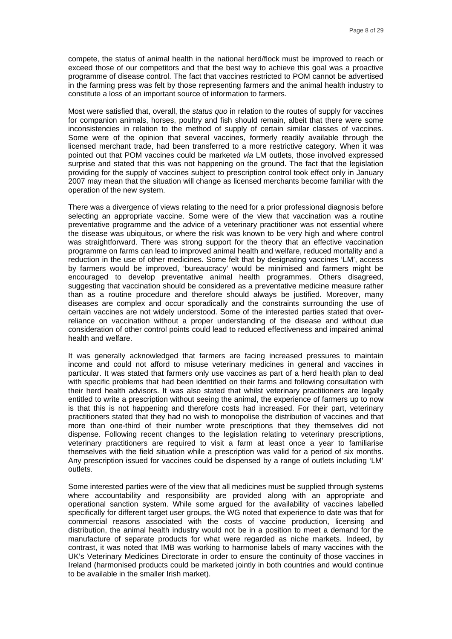compete, the status of animal health in the national herd/flock must be improved to reach or exceed those of our competitors and that the best way to achieve this goal was a proactive programme of disease control. The fact that vaccines restricted to POM cannot be advertised in the farming press was felt by those representing farmers and the animal health industry to constitute a loss of an important source of information to farmers.

Most were satisfied that, overall, the *status quo* in relation to the routes of supply for vaccines for companion animals, horses, poultry and fish should remain, albeit that there were some inconsistencies in relation to the method of supply of certain similar classes of vaccines. Some were of the opinion that several vaccines, formerly readily available through the licensed merchant trade, had been transferred to a more restrictive category. When it was pointed out that POM vaccines could be marketed *via* LM outlets, those involved expressed surprise and stated that this was not happening on the ground. The fact that the legislation providing for the supply of vaccines subject to prescription control took effect only in January 2007 may mean that the situation will change as licensed merchants become familiar with the operation of the new system.

There was a divergence of views relating to the need for a prior professional diagnosis before selecting an appropriate vaccine. Some were of the view that vaccination was a routine preventative programme and the advice of a veterinary practitioner was not essential where the disease was ubiquitous, or where the risk was known to be very high and where control was straightforward. There was strong support for the theory that an effective vaccination programme on farms can lead to improved animal health and welfare, reduced mortality and a reduction in the use of other medicines. Some felt that by designating vaccines 'LM', access by farmers would be improved, 'bureaucracy' would be minimised and farmers might be encouraged to develop preventative animal health programmes. Others disagreed, suggesting that vaccination should be considered as a preventative medicine measure rather than as a routine procedure and therefore should always be justified. Moreover, many diseases are complex and occur sporadically and the constraints surrounding the use of certain vaccines are not widely understood. Some of the interested parties stated that overreliance on vaccination without a proper understanding of the disease and without due consideration of other control points could lead to reduced effectiveness and impaired animal health and welfare.

It was generally acknowledged that farmers are facing increased pressures to maintain income and could not afford to misuse veterinary medicines in general and vaccines in particular. It was stated that farmers only use vaccines as part of a herd health plan to deal with specific problems that had been identified on their farms and following consultation with their herd health advisors. It was also stated that whilst veterinary practitioners are legally entitled to write a prescription without seeing the animal, the experience of farmers up to now is that this is not happening and therefore costs had increased. For their part, veterinary practitioners stated that they had no wish to monopolise the distribution of vaccines and that more than one-third of their number wrote prescriptions that they themselves did not dispense. Following recent changes to the legislation relating to veterinary prescriptions, veterinary practitioners are required to visit a farm at least once a year to familiarise themselves with the field situation while a prescription was valid for a period of six months. Any prescription issued for vaccines could be dispensed by a range of outlets including 'LM' outlets.

Some interested parties were of the view that all medicines must be supplied through systems where accountability and responsibility are provided along with an appropriate and operational sanction system. While some argued for the availability of vaccines labelled specifically for different target user groups, the WG noted that experience to date was that for commercial reasons associated with the costs of vaccine production, licensing and distribution, the animal health industry would not be in a position to meet a demand for the manufacture of separate products for what were regarded as niche markets. Indeed, by contrast, it was noted that IMB was working to harmonise labels of many vaccines with the UK's Veterinary Medicines Directorate in order to ensure the continuity of those vaccines in Ireland (harmonised products could be marketed jointly in both countries and would continue to be available in the smaller Irish market).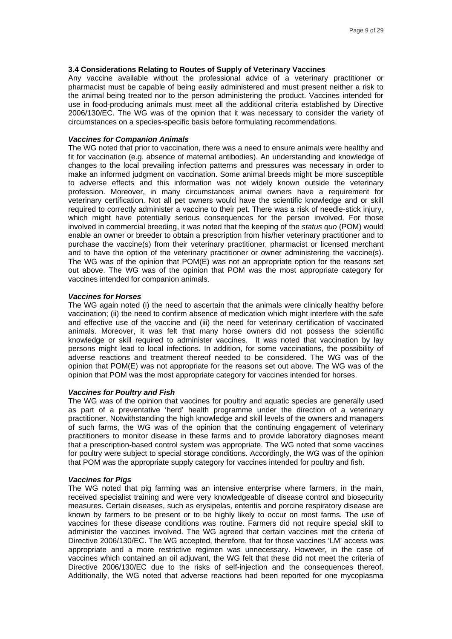#### **3.4 Considerations Relating to Routes of Supply of Veterinary Vaccines**

Any vaccine available without the professional advice of a veterinary practitioner or pharmacist must be capable of being easily administered and must present neither a risk to the animal being treated nor to the person administering the product. Vaccines intended for use in food-producing animals must meet all the additional criteria established by Directive 2006/130/EC. The WG was of the opinion that it was necessary to consider the variety of circumstances on a species-specific basis before formulating recommendations.

#### *Vaccines for Companion Animals*

The WG noted that prior to vaccination, there was a need to ensure animals were healthy and fit for vaccination (e.g. absence of maternal antibodies). An understanding and knowledge of changes to the local prevailing infection patterns and pressures was necessary in order to make an informed judgment on vaccination. Some animal breeds might be more susceptible to adverse effects and this information was not widely known outside the veterinary profession. Moreover, in many circumstances animal owners have a requirement for veterinary certification. Not all pet owners would have the scientific knowledge and or skill required to correctly administer a vaccine to their pet. There was a risk of needle-stick injury, which might have potentially serious consequences for the person involved. For those involved in commercial breeding, it was noted that the keeping of the *status quo* (POM) would enable an owner or breeder to obtain a prescription from his/her veterinary practitioner and to purchase the vaccine(s) from their veterinary practitioner, pharmacist or licensed merchant and to have the option of the veterinary practitioner or owner administering the vaccine(s). The WG was of the opinion that POM(E) was not an appropriate option for the reasons set out above. The WG was of the opinion that POM was the most appropriate category for vaccines intended for companion animals.

#### *Vaccines for Horses*

The WG again noted (i) the need to ascertain that the animals were clinically healthy before vaccination; (ii) the need to confirm absence of medication which might interfere with the safe and effective use of the vaccine and (iii) the need for veterinary certification of vaccinated animals. Moreover, it was felt that many horse owners did not possess the scientific knowledge or skill required to administer vaccines. It was noted that vaccination by lay persons might lead to local infections. In addition, for some vaccinations, the possibility of adverse reactions and treatment thereof needed to be considered. The WG was of the opinion that POM(E) was not appropriate for the reasons set out above. The WG was of the opinion that POM was the most appropriate category for vaccines intended for horses.

#### *Vaccines for Poultry and Fish*

The WG was of the opinion that vaccines for poultry and aquatic species are generally used as part of a preventative 'herd' health programme under the direction of a veterinary practitioner. Notwithstanding the high knowledge and skill levels of the owners and managers of such farms, the WG was of the opinion that the continuing engagement of veterinary practitioners to monitor disease in these farms and to provide laboratory diagnoses meant that a prescription-based control system was appropriate. The WG noted that some vaccines for poultry were subject to special storage conditions. Accordingly, the WG was of the opinion that POM was the appropriate supply category for vaccines intended for poultry and fish.

#### *Vaccines for Pigs*

The WG noted that pig farming was an intensive enterprise where farmers, in the main, received specialist training and were very knowledgeable of disease control and biosecurity measures. Certain diseases, such as erysipelas, enteritis and porcine respiratory disease are known by farmers to be present or to be highly likely to occur on most farms. The use of vaccines for these disease conditions was routine. Farmers did not require special skill to administer the vaccines involved. The WG agreed that certain vaccines met the criteria of Directive 2006/130/EC. The WG accepted, therefore, that for those vaccines 'LM' access was appropriate and a more restrictive regimen was unnecessary. However, in the case of vaccines which contained an oil adjuvant, the WG felt that these did not meet the criteria of Directive 2006/130/EC due to the risks of self-injection and the consequences thereof. Additionally, the WG noted that adverse reactions had been reported for one mycoplasma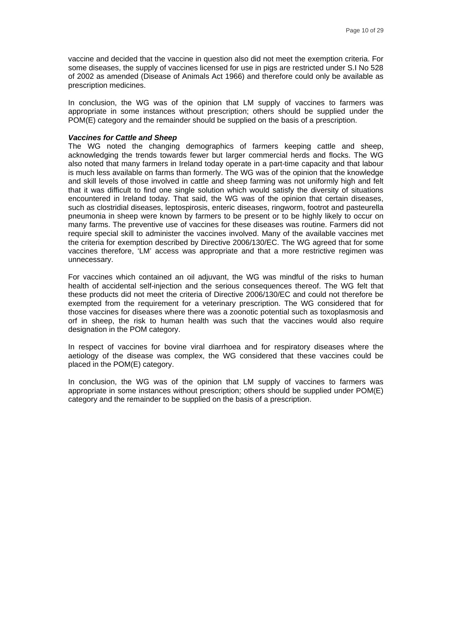vaccine and decided that the vaccine in question also did not meet the exemption criteria. For some diseases, the supply of vaccines licensed for use in pigs are restricted under S.I No 528 of 2002 as amended (Disease of Animals Act 1966) and therefore could only be available as prescription medicines.

In conclusion, the WG was of the opinion that LM supply of vaccines to farmers was appropriate in some instances without prescription; others should be supplied under the POM(E) category and the remainder should be supplied on the basis of a prescription.

#### *Vaccines for Cattle and Sheep*

The WG noted the changing demographics of farmers keeping cattle and sheep, acknowledging the trends towards fewer but larger commercial herds and flocks. The WG also noted that many farmers in Ireland today operate in a part-time capacity and that labour is much less available on farms than formerly. The WG was of the opinion that the knowledge and skill levels of those involved in cattle and sheep farming was not uniformly high and felt that it was difficult to find one single solution which would satisfy the diversity of situations encountered in Ireland today. That said, the WG was of the opinion that certain diseases, such as clostridial diseases, leptospirosis, enteric diseases, ringworm, footrot and pasteurella pneumonia in sheep were known by farmers to be present or to be highly likely to occur on many farms. The preventive use of vaccines for these diseases was routine. Farmers did not require special skill to administer the vaccines involved. Many of the available vaccines met the criteria for exemption described by Directive 2006/130/EC. The WG agreed that for some vaccines therefore, 'LM' access was appropriate and that a more restrictive regimen was unnecessary.

For vaccines which contained an oil adjuvant, the WG was mindful of the risks to human health of accidental self-injection and the serious consequences thereof. The WG felt that these products did not meet the criteria of Directive 2006/130/EC and could not therefore be exempted from the requirement for a veterinary prescription. The WG considered that for those vaccines for diseases where there was a zoonotic potential such as toxoplasmosis and orf in sheep, the risk to human health was such that the vaccines would also require designation in the POM category.

In respect of vaccines for bovine viral diarrhoea and for respiratory diseases where the aetiology of the disease was complex, the WG considered that these vaccines could be placed in the POM(E) category.

In conclusion, the WG was of the opinion that LM supply of vaccines to farmers was appropriate in some instances without prescription; others should be supplied under POM(E) category and the remainder to be supplied on the basis of a prescription.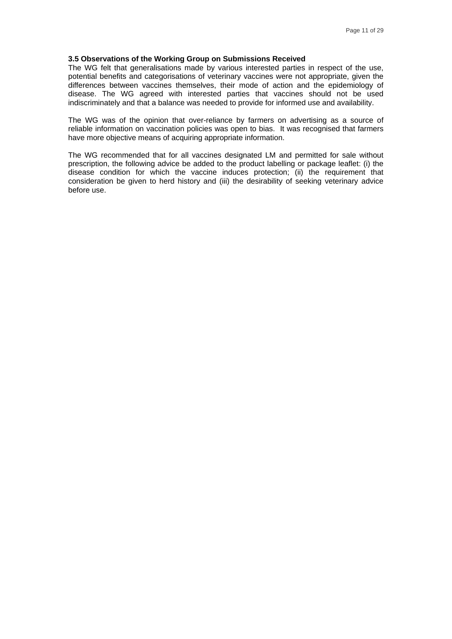#### **3.5 Observations of the Working Group on Submissions Received**

The WG felt that generalisations made by various interested parties in respect of the use, potential benefits and categorisations of veterinary vaccines were not appropriate, given the differences between vaccines themselves, their mode of action and the epidemiology of disease. The WG agreed with interested parties that vaccines should not be used indiscriminately and that a balance was needed to provide for informed use and availability.

The WG was of the opinion that over-reliance by farmers on advertising as a source of reliable information on vaccination policies was open to bias. It was recognised that farmers have more objective means of acquiring appropriate information.

The WG recommended that for all vaccines designated LM and permitted for sale without prescription, the following advice be added to the product labelling or package leaflet: (i) the disease condition for which the vaccine induces protection; (ii) the requirement that consideration be given to herd history and (iii) the desirability of seeking veterinary advice before use.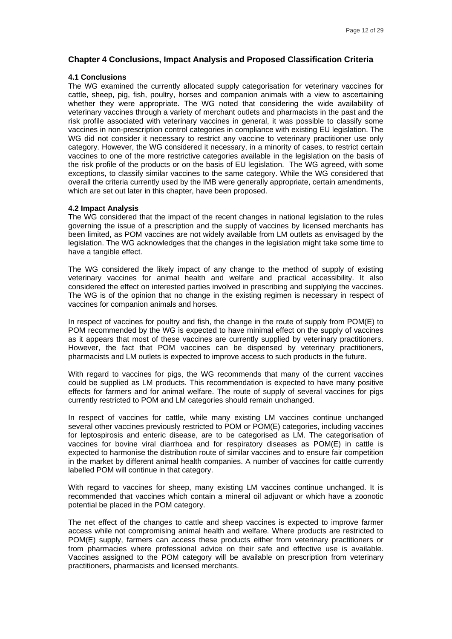#### **Chapter 4 Conclusions, Impact Analysis and Proposed Classification Criteria**

#### **4.1 Conclusions**

The WG examined the currently allocated supply categorisation for veterinary vaccines for cattle, sheep, pig, fish, poultry, horses and companion animals with a view to ascertaining whether they were appropriate. The WG noted that considering the wide availability of veterinary vaccines through a variety of merchant outlets and pharmacists in the past and the risk profile associated with veterinary vaccines in general, it was possible to classify some vaccines in non-prescription control categories in compliance with existing EU legislation. The WG did not consider it necessary to restrict any vaccine to veterinary practitioner use only category. However, the WG considered it necessary, in a minority of cases, to restrict certain vaccines to one of the more restrictive categories available in the legislation on the basis of the risk profile of the products or on the basis of EU legislation. The WG agreed, with some exceptions, to classify similar vaccines to the same category. While the WG considered that overall the criteria currently used by the IMB were generally appropriate, certain amendments, which are set out later in this chapter, have been proposed.

#### **4.2 Impact Analysis**

The WG considered that the impact of the recent changes in national legislation to the rules governing the issue of a prescription and the supply of vaccines by licensed merchants has been limited, as POM vaccines are not widely available from LM outlets as envisaged by the legislation. The WG acknowledges that the changes in the legislation might take some time to have a tangible effect.

The WG considered the likely impact of any change to the method of supply of existing veterinary vaccines for animal health and welfare and practical accessibility. It also considered the effect on interested parties involved in prescribing and supplying the vaccines. The WG is of the opinion that no change in the existing regimen is necessary in respect of vaccines for companion animals and horses.

In respect of vaccines for poultry and fish, the change in the route of supply from POM(E) to POM recommended by the WG is expected to have minimal effect on the supply of vaccines as it appears that most of these vaccines are currently supplied by veterinary practitioners. However, the fact that POM vaccines can be dispensed by veterinary practitioners, pharmacists and LM outlets is expected to improve access to such products in the future.

With regard to vaccines for pigs, the WG recommends that many of the current vaccines could be supplied as LM products. This recommendation is expected to have many positive effects for farmers and for animal welfare. The route of supply of several vaccines for pigs currently restricted to POM and LM categories should remain unchanged.

In respect of vaccines for cattle, while many existing LM vaccines continue unchanged several other vaccines previously restricted to POM or POM(E) categories, including vaccines for leptospirosis and enteric disease, are to be categorised as LM. The categorisation of vaccines for bovine viral diarrhoea and for respiratory diseases as POM(E) in cattle is expected to harmonise the distribution route of similar vaccines and to ensure fair competition in the market by different animal health companies. A number of vaccines for cattle currently labelled POM will continue in that category.

With regard to vaccines for sheep, many existing LM vaccines continue unchanged. It is recommended that vaccines which contain a mineral oil adjuvant or which have a zoonotic potential be placed in the POM category.

The net effect of the changes to cattle and sheep vaccines is expected to improve farmer access while not compromising animal health and welfare. Where products are restricted to POM(E) supply, farmers can access these products either from veterinary practitioners or from pharmacies where professional advice on their safe and effective use is available. Vaccines assigned to the POM category will be available on prescription from veterinary practitioners, pharmacists and licensed merchants.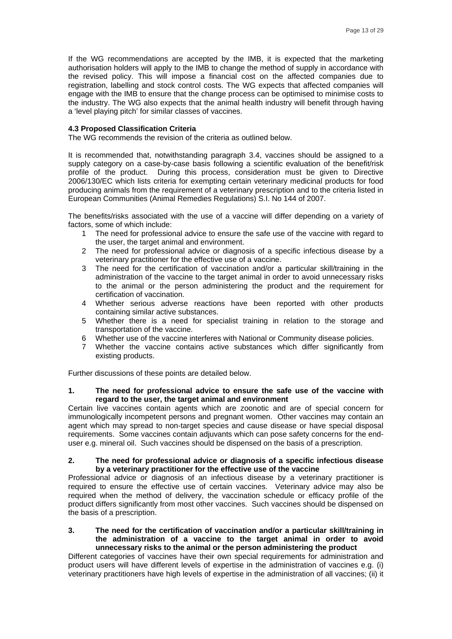If the WG recommendations are accepted by the IMB, it is expected that the marketing authorisation holders will apply to the IMB to change the method of supply in accordance with the revised policy. This will impose a financial cost on the affected companies due to registration, labelling and stock control costs. The WG expects that affected companies will engage with the IMB to ensure that the change process can be optimised to minimise costs to the industry. The WG also expects that the animal health industry will benefit through having a 'level playing pitch' for similar classes of vaccines.

#### **4.3 Proposed Classification Criteria**

The WG recommends the revision of the criteria as outlined below.

It is recommended that, notwithstanding paragraph 3.4, vaccines should be assigned to a supply category on a case-by-case basis following a scientific evaluation of the benefit/risk profile of the product. During this process, consideration must be given to Directive 2006/130/EC which lists criteria for exempting certain veterinary medicinal products for food producing animals from the requirement of a veterinary prescription and to the criteria listed in European Communities (Animal Remedies Regulations) S.I. No 144 of 2007.

The benefits/risks associated with the use of a vaccine will differ depending on a variety of factors, some of which include:

- 1 The need for professional advice to ensure the safe use of the vaccine with regard to the user, the target animal and environment.
- 2 The need for professional advice or diagnosis of a specific infectious disease by a veterinary practitioner for the effective use of a vaccine.
- 3 The need for the certification of vaccination and/or a particular skill/training in the administration of the vaccine to the target animal in order to avoid unnecessary risks to the animal or the person administering the product and the requirement for certification of vaccination.
- 4 Whether serious adverse reactions have been reported with other products containing similar active substances.
- 5 Whether there is a need for specialist training in relation to the storage and transportation of the vaccine.
- 6 Whether use of the vaccine interferes with National or Community disease policies.
- 7 Whether the vaccine contains active substances which differ significantly from existing products.

Further discussions of these points are detailed below.

#### **1. The need for professional advice to ensure the safe use of the vaccine with regard to the user, the target animal and environment**

Certain live vaccines contain agents which are zoonotic and are of special concern for immunologically incompetent persons and pregnant women. Other vaccines may contain an agent which may spread to non-target species and cause disease or have special disposal requirements. Some vaccines contain adjuvants which can pose safety concerns for the enduser e.g. mineral oil. Such vaccines should be dispensed on the basis of a prescription.

#### **2. The need for professional advice or diagnosis of a specific infectious disease by a veterinary practitioner for the effective use of the vaccine**

Professional advice or diagnosis of an infectious disease by a veterinary practitioner is required to ensure the effective use of certain vaccines. Veterinary advice may also be required when the method of delivery, the vaccination schedule or efficacy profile of the product differs significantly from most other vaccines. Such vaccines should be dispensed on the basis of a prescription.

#### **3. The need for the certification of vaccination and/or a particular skill/training in the administration of a vaccine to the target animal in order to avoid unnecessary risks to the animal or the person administering the product**

Different categories of vaccines have their own special requirements for administration and product users will have different levels of expertise in the administration of vaccines e.g. (i) veterinary practitioners have high levels of expertise in the administration of all vaccines; (ii) it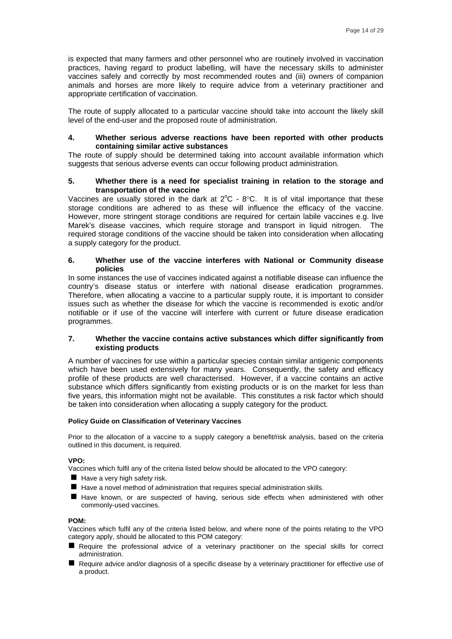is expected that many farmers and other personnel who are routinely involved in vaccination practices, having regard to product labelling, will have the necessary skills to administer vaccines safely and correctly by most recommended routes and (iii) owners of companion animals and horses are more likely to require advice from a veterinary practitioner and appropriate certification of vaccination.

The route of supply allocated to a particular vaccine should take into account the likely skill level of the end-user and the proposed route of administration.

#### **4. Whether serious adverse reactions have been reported with other products containing similar active substances**

The route of supply should be determined taking into account available information which suggests that serious adverse events can occur following product administration.

#### **5. Whether there is a need for specialist training in relation to the storage and transportation of the vaccine**

Vaccines are usually stored in the dark at  $2^{\circ}$ C -  $8^{\circ}$ C. It is of vital importance that these storage conditions are adhered to as these will influence the efficacy of the vaccine. However, more stringent storage conditions are required for certain labile vaccines e.g. live Marek's disease vaccines, which require storage and transport in liquid nitrogen. The required storage conditions of the vaccine should be taken into consideration when allocating a supply category for the product.

#### **6. Whether use of the vaccine interferes with National or Community disease policies**

In some instances the use of vaccines indicated against a notifiable disease can influence the country's disease status or interfere with national disease eradication programmes. Therefore, when allocating a vaccine to a particular supply route, it is important to consider issues such as whether the disease for which the vaccine is recommended is exotic and/or notifiable or if use of the vaccine will interfere with current or future disease eradication programmes.

#### **7. Whether the vaccine contains active substances which differ significantly from existing products**

A number of vaccines for use within a particular species contain similar antigenic components which have been used extensively for many years. Consequently, the safety and efficacy profile of these products are well characterised. However, if a vaccine contains an active substance which differs significantly from existing products or is on the market for less than five years, this information might not be available. This constitutes a risk factor which should be taken into consideration when allocating a supply category for the product.

#### **Policy Guide on Classification of Veterinary Vaccines**

Prior to the allocation of a vaccine to a supply category a benefit/risk analysis, based on the criteria outlined in this document, is required.

#### **VPO:**

Vaccines which fulfil any of the criteria listed below should be allocated to the VPO category:

- $\blacksquare$  Have a very high safety risk.
- Have a novel method of administration that requires special administration skills.
- Herave known, or are suspected of having, serious side effects when administered with other commonly-used vaccines.

#### **POM:**

Vaccines which fulfil any of the criteria listed below, and where none of the points relating to the VPO category apply, should be allocated to this POM category:

- Require the professional advice of a veterinary practitioner on the special skills for correct administration.
- Require advice and/or diagnosis of a specific disease by a veterinary practitioner for effective use of a product.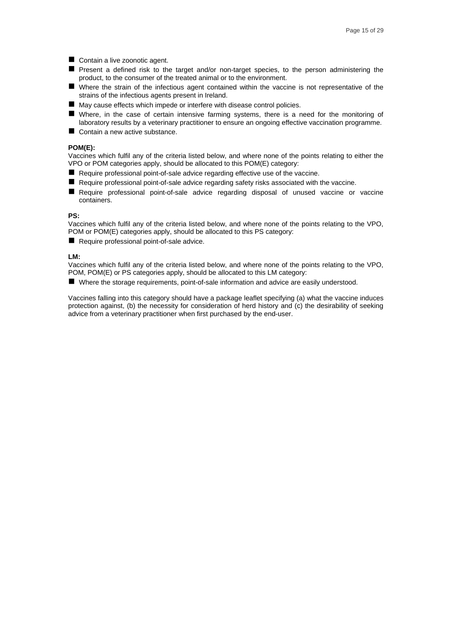- Contain a live zoonotic agent.
- Present a defined risk to the target and/or non-target species, to the person administering the product, to the consumer of the treated animal or to the environment.
- Where the strain of the infectious agent contained within the vaccine is not representative of the strains of the infectious agents present in Ireland.
- May cause effects which impede or interfere with disease control policies.
- Where, in the case of certain intensive farming systems, there is a need for the monitoring of laboratory results by a veterinary practitioner to ensure an ongoing effective vaccination programme.
- Contain a new active substance.

#### **POM(E):**

Vaccines which fulfil any of the criteria listed below, and where none of the points relating to either the VPO or POM categories apply, should be allocated to this POM(E) category:

- Require professional point-of-sale advice regarding effective use of the vaccine.
- Require professional point-of-sale advice regarding safety risks associated with the vaccine.
- Require professional point-of-sale advice regarding disposal of unused vaccine or vaccine containers.

#### **PS:**

Vaccines which fulfil any of the criteria listed below, and where none of the points relating to the VPO, POM or POM(E) categories apply, should be allocated to this PS category:

Require professional point-of-sale advice.

#### **LM:**

Vaccines which fulfil any of the criteria listed below, and where none of the points relating to the VPO, POM, POM(E) or PS categories apply, should be allocated to this LM category:

■ Where the storage requirements, point-of-sale information and advice are easily understood.

Vaccines falling into this category should have a package leaflet specifying (a) what the vaccine induces protection against, (b) the necessity for consideration of herd history and (c) the desirability of seeking advice from a veterinary practitioner when first purchased by the end-user.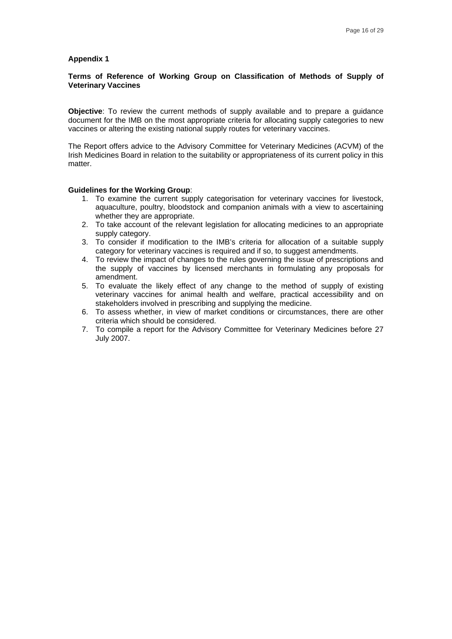#### **Terms of Reference of Working Group on Classification of Methods of Supply of Veterinary Vaccines**

**Objective**: To review the current methods of supply available and to prepare a guidance document for the IMB on the most appropriate criteria for allocating supply categories to new vaccines or altering the existing national supply routes for veterinary vaccines.

The Report offers advice to the Advisory Committee for Veterinary Medicines (ACVM) of the Irish Medicines Board in relation to the suitability or appropriateness of its current policy in this matter.

#### **Guidelines for the Working Group**:

- 1. To examine the current supply categorisation for veterinary vaccines for livestock, aquaculture, poultry, bloodstock and companion animals with a view to ascertaining whether they are appropriate.
- 2. To take account of the relevant legislation for allocating medicines to an appropriate supply category.
- 3. To consider if modification to the IMB's criteria for allocation of a suitable supply category for veterinary vaccines is required and if so, to suggest amendments.
- 4. To review the impact of changes to the rules governing the issue of prescriptions and the supply of vaccines by licensed merchants in formulating any proposals for amendment.
- 5. To evaluate the likely effect of any change to the method of supply of existing veterinary vaccines for animal health and welfare, practical accessibility and on stakeholders involved in prescribing and supplying the medicine.
- 6. To assess whether, in view of market conditions or circumstances, there are other criteria which should be considered.
- 7. To compile a report for the Advisory Committee for Veterinary Medicines before 27 July 2007.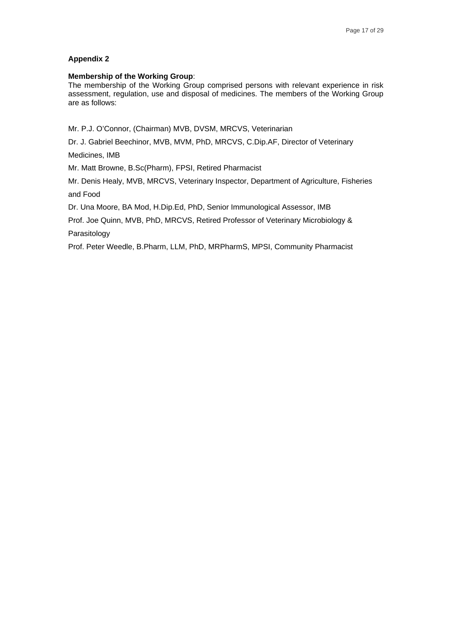#### **Membership of the Working Group**:

The membership of the Working Group comprised persons with relevant experience in risk assessment, regulation, use and disposal of medicines. The members of the Working Group are as follows:

Mr. P.J. O'Connor, (Chairman) MVB, DVSM, MRCVS, Veterinarian

Dr. J. Gabriel Beechinor, MVB, MVM, PhD, MRCVS, C.Dip.AF, Director of Veterinary

Medicines, IMB

Mr. Matt Browne, B.Sc(Pharm), FPSI, Retired Pharmacist

Mr. Denis Healy, MVB, MRCVS, Veterinary Inspector, Department of Agriculture, Fisheries and Food

Dr. Una Moore, BA Mod, H.Dip.Ed, PhD, Senior Immunological Assessor, IMB

Prof. Joe Quinn, MVB, PhD, MRCVS, Retired Professor of Veterinary Microbiology & Parasitology

Prof. Peter Weedle, B.Pharm, LLM, PhD, MRPharmS, MPSI, Community Pharmacist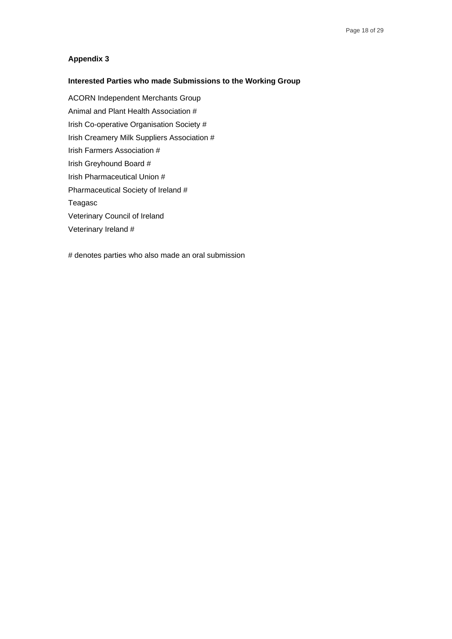## **Interested Parties who made Submissions to the Working Group**

ACORN Independent Merchants Group Animal and Plant Health Association # Irish Co-operative Organisation Society # Irish Creamery Milk Suppliers Association # Irish Farmers Association # Irish Greyhound Board # Irish Pharmaceutical Union # Pharmaceutical Society of Ireland # Teagasc Veterinary Council of Ireland Veterinary Ireland #

# denotes parties who also made an oral submission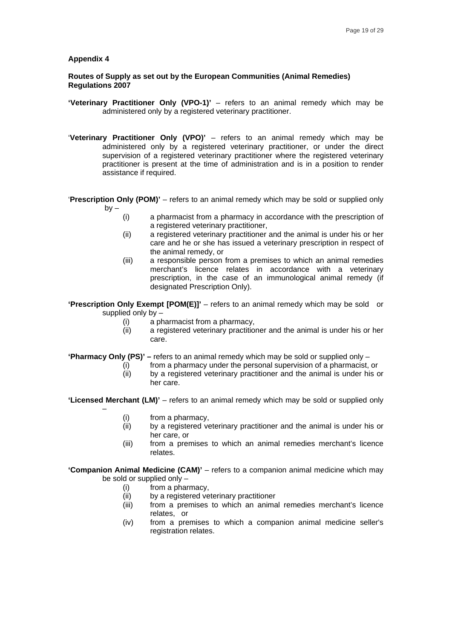#### **Routes of Supply as set out by the European Communities (Animal Remedies) Regulations 2007**

- **'Veterinary Practitioner Only (VPO-1)'** refers to an animal remedy which may be administered only by a registered veterinary practitioner.
- '**Veterinary Practitioner Only (VPO)'** refers to an animal remedy which may be administered only by a registered veterinary practitioner, or under the direct supervision of a registered veterinary practitioner where the registered veterinary practitioner is present at the time of administration and is in a position to render assistance if required.

'**Prescription Only (POM)'** – refers to an animal remedy which may be sold or supplied only  $by -$ 

- (i) a pharmacist from a pharmacy in accordance with the prescription of a registered veterinary practitioner,
- (ii) a registered veterinary practitioner and the animal is under his or her care and he or she has issued a veterinary prescription in respect of the animal remedy, or
- (iii) a responsible person from a premises to which an animal remedies merchant's licence relates in accordance with a veterinary prescription, in the case of an immunological animal remedy (if designated Prescription Only).

**'Prescription Only Exempt [POM(E)]'** – refers to an animal remedy which may be sold or supplied only by –

- (i) a pharmacist from a pharmacy,
- (ii) a registered veterinary practitioner and the animal is under his or her care.

**'Pharmacy Only (PS)' –** refers to an animal remedy which may be sold or supplied only –

- (i) from a pharmacy under the personal supervision of a pharmacist, or
- (ii) by a registered veterinary practitioner and the animal is under his or her care.

'Licensed Merchant (LM)' - refers to an animal remedy which may be sold or supplied only

(i)from a pharmacy,

–

- (ii) by a registered veterinary practitioner and the animal is under his or her care, or
- (iii) from a premises to which an animal remedies merchant's licence relates.

**'Companion Animal Medicine (CAM)'** – refers to a companion animal medicine which may be sold or supplied only –

- (i)from a pharmacy,
- 
- (ii) by a registered veterinary practitioner<br>(iii) from a premises to which an anima from a premises to which an animal remedies merchant's licence relates, or
- (iv) from a premises to which a companion animal medicine seller's registration relates.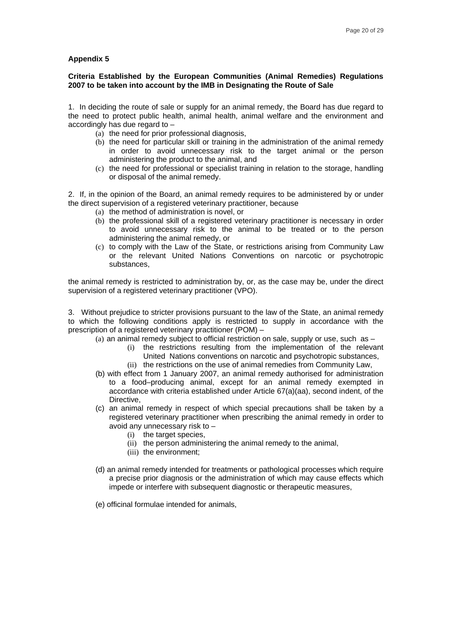#### **Criteria Established by the European Communities (Animal Remedies) Regulations 2007 to be taken into account by the IMB in Designating the Route of Sale**

1. In deciding the route of sale or supply for an animal remedy, the Board has due regard to the need to protect public health, animal health, animal welfare and the environment and accordingly has due regard to –

- (a) the need for prior professional diagnosis,
- (b) the need for particular skill or training in the administration of the animal remedy in order to avoid unnecessary risk to the target animal or the person administering the product to the animal, and
- (c) the need for professional or specialist training in relation to the storage, handling or disposal of the animal remedy.

2. If, in the opinion of the Board, an animal remedy requires to be administered by or under the direct supervision of a registered veterinary practitioner, because

- (a) the method of administration is novel, or
- (b) the professional skill of a registered veterinary practitioner is necessary in order to avoid unnecessary risk to the animal to be treated or to the person administering the animal remedy, or
- (c) to comply with the Law of the State, or restrictions arising from Community Law or the relevant United Nations Conventions on narcotic or psychotropic substances,

the animal remedy is restricted to administration by, or, as the case may be, under the direct supervision of a registered veterinary practitioner (VPO).

3. Without prejudice to stricter provisions pursuant to the law of the State, an animal remedy to which the following conditions apply is restricted to supply in accordance with the prescription of a registered veterinary practitioner (POM) –

- (a) an animal remedy subject to official restriction on sale, supply or use, such as  $-$ 
	- (i) the restrictions resulting from the implementation of the relevant United Nations conventions on narcotic and psychotropic substances,
	- (ii) the restrictions on the use of animal remedies from Community Law,
- (b) with effect from 1 January 2007, an animal remedy authorised for administration to a food–producing animal, except for an animal remedy exempted in accordance with criteria established under Article 67(a)(aa), second indent, of the Directive,
- (c) an animal remedy in respect of which special precautions shall be taken by a registered veterinary practitioner when prescribing the animal remedy in order to avoid any unnecessary risk to –
	- (i) the target species,
	- (ii) the person administering the animal remedy to the animal,
	- (iii) the environment;
- (d) an animal remedy intended for treatments or pathological processes which require a precise prior diagnosis or the administration of which may cause effects which impede or interfere with subsequent diagnostic or therapeutic measures,
- (e) officinal formulae intended for animals,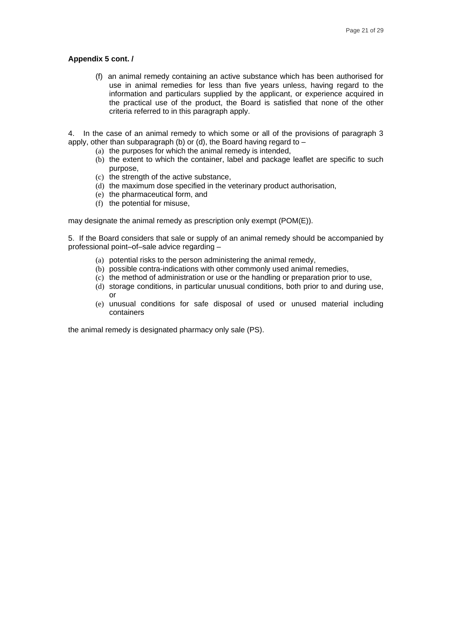#### **Appendix 5 cont. /**

(f) an animal remedy containing an active substance which has been authorised for use in animal remedies for less than five years unless, having regard to the information and particulars supplied by the applicant, or experience acquired in the practical use of the product, the Board is satisfied that none of the other criteria referred to in this paragraph apply.

4. In the case of an animal remedy to which some or all of the provisions of paragraph 3 apply, other than subparagraph (b) or (d), the Board having regard to  $-$ 

- (a) the purposes for which the animal remedy is intended,
- (b) the extent to which the container, label and package leaflet are specific to such purpose,
- (c) the strength of the active substance,
- (d) the maximum dose specified in the veterinary product authorisation,
- (e) the pharmaceutical form, and
- (f) the potential for misuse,

may designate the animal remedy as prescription only exempt (POM(E)).

5. If the Board considers that sale or supply of an animal remedy should be accompanied by professional point–of–sale advice regarding –

- (a) potential risks to the person administering the animal remedy,
- (b) possible contra-indications with other commonly used animal remedies,
- (c) the method of administration or use or the handling or preparation prior to use,
- (d) storage conditions, in particular unusual conditions, both prior to and during use, or
- (e) unusual conditions for safe disposal of used or unused material including containers

the animal remedy is designated pharmacy only sale (PS).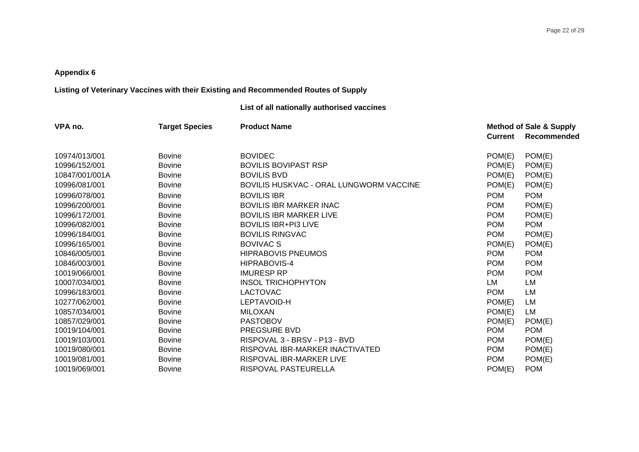## **Listing of Veterinary Vaccines with their Existing and Recommended Routes of Supply**

## **List of all nationally authorised vaccines**

| VPA no.        | <b>Target Species</b> | <b>Product Name</b>                     |                | <b>Method of Sale &amp; Supply</b> |
|----------------|-----------------------|-----------------------------------------|----------------|------------------------------------|
|                |                       |                                         | <b>Current</b> | Recommended                        |
| 10974/013/001  | <b>Bovine</b>         | <b>BOVIDEC</b>                          | POM(E)         | POM(E)                             |
| 10996/152/001  | <b>Bovine</b>         | <b>BOVILIS BOVIPAST RSP</b>             | POM(E)         | POM(E)                             |
| 10847/001/001A | <b>Bovine</b>         | <b>BOVILIS BVD</b>                      | POM(E)         | POM(E)                             |
| 10996/081/001  | <b>Bovine</b>         | BOVILIS HUSKVAC - ORAL LUNGWORM VACCINE | POM(E)         | POM(E)                             |
| 10996/078/001  | <b>Bovine</b>         | <b>BOVILIS IBR</b>                      | <b>POM</b>     | <b>POM</b>                         |
| 10996/200/001  | <b>Bovine</b>         | <b>BOVILIS IBR MARKER INAC</b>          | <b>POM</b>     | POM(E)                             |
| 10996/172/001  | <b>Bovine</b>         | <b>BOVILIS IBR MARKER LIVE</b>          | <b>POM</b>     | POM(E)                             |
| 10996/082/001  | <b>Bovine</b>         | <b>BOVILIS IBR+PI3 LIVE</b>             | <b>POM</b>     | <b>POM</b>                         |
| 10996/184/001  | <b>Bovine</b>         | <b>BOVILIS RINGVAC</b>                  | <b>POM</b>     | POM(E)                             |
| 10996/165/001  | <b>Bovine</b>         | <b>BOVIVAC S</b>                        | POM(E)         | POM(E)                             |
| 10846/005/001  | <b>Bovine</b>         | <b>HIPRABOVIS PNEUMOS</b>               | <b>POM</b>     | <b>POM</b>                         |
| 10846/003/001  | <b>Bovine</b>         | HIPRABOVIS-4                            | <b>POM</b>     | <b>POM</b>                         |
| 10019/066/001  | <b>Bovine</b>         | <b>IMURESP RP</b>                       | <b>POM</b>     | <b>POM</b>                         |
| 10007/034/001  | <b>Bovine</b>         | <b>INSOL TRICHOPHYTON</b>               | <b>LM</b>      | LM                                 |
| 10996/183/001  | <b>Bovine</b>         | <b>LACTOVAC</b>                         | <b>POM</b>     | LM                                 |
| 10277/062/001  | <b>Bovine</b>         | LEPTAVOID-H                             | POM(E)         | LM                                 |
| 10857/034/001  | <b>Bovine</b>         | <b>MILOXAN</b>                          | POM(E)         | LM                                 |
| 10857/029/001  | <b>Bovine</b>         | <b>PASTOBOV</b>                         | POM(E)         | POM(E)                             |
| 10019/104/001  | <b>Bovine</b>         | <b>PREGSURE BVD</b>                     | <b>POM</b>     | <b>POM</b>                         |
| 10019/103/001  | <b>Bovine</b>         | RISPOVAL 3 - BRSV - P13 - BVD           | <b>POM</b>     | POM(E)                             |
| 10019/080/001  | <b>Bovine</b>         | RISPOVAL IBR-MARKER INACTIVATED         | <b>POM</b>     | POM(E)                             |
| 10019/081/001  | <b>Bovine</b>         | RISPOVAL IBR-MARKER LIVE                | <b>POM</b>     | POM(E)                             |
| 10019/069/001  | <b>Bovine</b>         | RISPOVAL PASTEURELLA                    | POM(E)         | <b>POM</b>                         |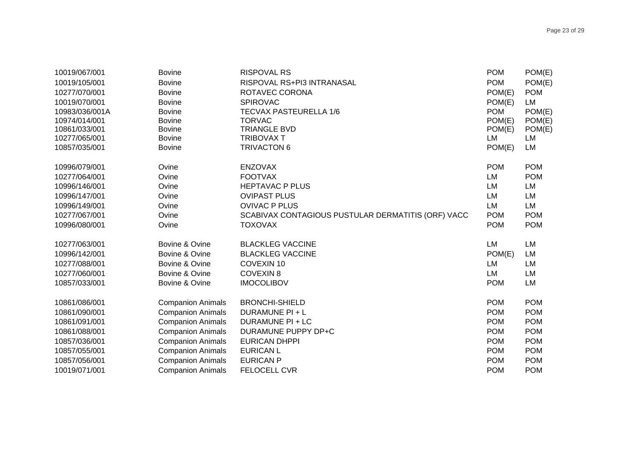| 10019/067/001<br>10019/105/001<br>10277/070/001<br>10019/070/001<br>10983/036/001A<br>10974/014/001<br>10861/033/001<br>10277/065/001<br>10857/035/001 | <b>Bovine</b><br><b>Bovine</b><br><b>Bovine</b><br><b>Bovine</b><br><b>Bovine</b><br><b>Bovine</b><br><b>Bovine</b><br><b>Bovine</b><br><b>Bovine</b> | <b>RISPOVAL RS</b><br>RISPOVAL RS+PI3 INTRANASAL<br>ROTAVEC CORONA<br><b>SPIROVAC</b><br><b>TECVAX PASTEURELLA 1/6</b><br><b>TORVAC</b><br><b>TRIANGLE BVD</b><br><b>TRIBOVAX T</b><br><b>TRIVACTON 6</b> | <b>POM</b><br><b>POM</b><br>POM(E)<br>POM(E)<br><b>POM</b><br>POM(E)<br>POM(E)<br>LM<br>POM(E) | POM(E)<br>POM(E)<br><b>POM</b><br>LM<br>POM(E)<br>POM(E)<br>POM(E)<br>LM<br>LM |
|--------------------------------------------------------------------------------------------------------------------------------------------------------|-------------------------------------------------------------------------------------------------------------------------------------------------------|-----------------------------------------------------------------------------------------------------------------------------------------------------------------------------------------------------------|------------------------------------------------------------------------------------------------|--------------------------------------------------------------------------------|
| 10996/079/001                                                                                                                                          | Ovine                                                                                                                                                 | <b>ENZOVAX</b>                                                                                                                                                                                            | <b>POM</b>                                                                                     | <b>POM</b>                                                                     |
| 10277/064/001                                                                                                                                          | Ovine                                                                                                                                                 | <b>FOOTVAX</b>                                                                                                                                                                                            | <b>LM</b>                                                                                      | <b>POM</b>                                                                     |
| 10996/146/001                                                                                                                                          | Ovine                                                                                                                                                 | <b>HEPTAVAC P PLUS</b>                                                                                                                                                                                    | LM                                                                                             | LM                                                                             |
| 10996/147/001                                                                                                                                          | Ovine                                                                                                                                                 | <b>OVIPAST PLUS</b>                                                                                                                                                                                       | LM                                                                                             | LM                                                                             |
| 10996/149/001                                                                                                                                          | Ovine                                                                                                                                                 | <b>OVIVAC P PLUS</b>                                                                                                                                                                                      | LM                                                                                             | LM                                                                             |
| 10277/067/001                                                                                                                                          | Ovine                                                                                                                                                 | SCABIVAX CONTAGIOUS PUSTULAR DERMATITIS (ORF) VACC                                                                                                                                                        | <b>POM</b>                                                                                     | <b>POM</b>                                                                     |
| 10996/080/001                                                                                                                                          | Ovine                                                                                                                                                 | <b>TOXOVAX</b>                                                                                                                                                                                            | <b>POM</b>                                                                                     | <b>POM</b>                                                                     |
| 10277/063/001                                                                                                                                          | Bovine & Ovine                                                                                                                                        | <b>BLACKLEG VACCINE</b>                                                                                                                                                                                   | LM                                                                                             | LM                                                                             |
| 10996/142/001                                                                                                                                          | Bovine & Ovine                                                                                                                                        | <b>BLACKLEG VACCINE</b>                                                                                                                                                                                   | POM(E)                                                                                         | LM                                                                             |
| 10277/088/001                                                                                                                                          | Bovine & Ovine                                                                                                                                        | COVEXIN 10                                                                                                                                                                                                | LM                                                                                             | LM                                                                             |
| 10277/060/001                                                                                                                                          | Bovine & Ovine                                                                                                                                        | <b>COVEXIN8</b>                                                                                                                                                                                           | LM                                                                                             | LM                                                                             |
| 10857/033/001                                                                                                                                          | Bovine & Ovine                                                                                                                                        | <b>IMOCOLIBOV</b>                                                                                                                                                                                         | <b>POM</b>                                                                                     | LM                                                                             |
| 10861/086/001                                                                                                                                          | <b>Companion Animals</b>                                                                                                                              | <b>BRONCHI-SHIELD</b>                                                                                                                                                                                     | <b>POM</b>                                                                                     | <b>POM</b>                                                                     |
| 10861/090/001                                                                                                                                          | <b>Companion Animals</b>                                                                                                                              | DURAMUNE PI + L                                                                                                                                                                                           | <b>POM</b>                                                                                     | <b>POM</b>                                                                     |
| 10861/091/001                                                                                                                                          | <b>Companion Animals</b>                                                                                                                              | DURAMUNE PI + LC                                                                                                                                                                                          | <b>POM</b>                                                                                     | <b>POM</b>                                                                     |
| 10861/088/001                                                                                                                                          | <b>Companion Animals</b>                                                                                                                              | DURAMUNE PUPPY DP+C                                                                                                                                                                                       | <b>POM</b>                                                                                     | <b>POM</b>                                                                     |
| 10857/036/001                                                                                                                                          | <b>Companion Animals</b>                                                                                                                              | <b>EURICAN DHPPI</b>                                                                                                                                                                                      | <b>POM</b>                                                                                     | <b>POM</b>                                                                     |
| 10857/055/001                                                                                                                                          | <b>Companion Animals</b>                                                                                                                              | <b>EURICAN L</b>                                                                                                                                                                                          | <b>POM</b>                                                                                     | <b>POM</b>                                                                     |
| 10857/056/001                                                                                                                                          | <b>Companion Animals</b>                                                                                                                              | <b>EURICAN P</b>                                                                                                                                                                                          | <b>POM</b>                                                                                     | <b>POM</b>                                                                     |
| 10019/071/001                                                                                                                                          | <b>Companion Animals</b>                                                                                                                              | <b>FELOCELL CVR</b>                                                                                                                                                                                       | <b>POM</b>                                                                                     | <b>POM</b>                                                                     |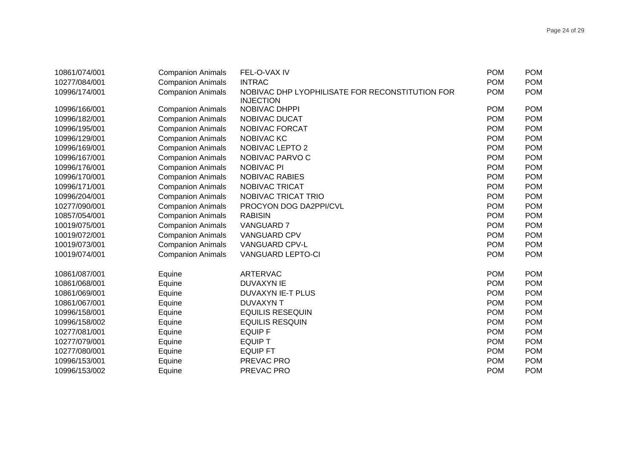| 10861/074/001 | <b>Companion Animals</b> | FEL-O-VAX IV                                                        | <b>POM</b> | <b>POM</b> |
|---------------|--------------------------|---------------------------------------------------------------------|------------|------------|
| 10277/084/001 | <b>Companion Animals</b> | <b>INTRAC</b>                                                       | <b>POM</b> | <b>POM</b> |
| 10996/174/001 | <b>Companion Animals</b> | NOBIVAC DHP LYOPHILISATE FOR RECONSTITUTION FOR<br><b>INJECTION</b> | <b>POM</b> | <b>POM</b> |
| 10996/166/001 | <b>Companion Animals</b> | NOBIVAC DHPPI                                                       | <b>POM</b> | <b>POM</b> |
| 10996/182/001 | <b>Companion Animals</b> | NOBIVAC DUCAT                                                       | <b>POM</b> | <b>POM</b> |
| 10996/195/001 | <b>Companion Animals</b> | NOBIVAC FORCAT                                                      | <b>POM</b> | <b>POM</b> |
| 10996/129/001 | <b>Companion Animals</b> | NOBIVAC KC                                                          | <b>POM</b> | <b>POM</b> |
| 10996/169/001 | <b>Companion Animals</b> | NOBIVAC LEPTO 2                                                     | <b>POM</b> | <b>POM</b> |
| 10996/167/001 | <b>Companion Animals</b> | NOBIVAC PARVO C                                                     | <b>POM</b> | <b>POM</b> |
| 10996/176/001 | <b>Companion Animals</b> | <b>NOBIVAC PI</b>                                                   | <b>POM</b> | <b>POM</b> |
| 10996/170/001 | <b>Companion Animals</b> | <b>NOBIVAC RABIES</b>                                               | <b>POM</b> | <b>POM</b> |
| 10996/171/001 | <b>Companion Animals</b> | NOBIVAC TRICAT                                                      | <b>POM</b> | <b>POM</b> |
| 10996/204/001 | <b>Companion Animals</b> | NOBIVAC TRICAT TRIO                                                 | <b>POM</b> | <b>POM</b> |
| 10277/090/001 | <b>Companion Animals</b> | PROCYON DOG DA2PPI/CVL                                              | <b>POM</b> | <b>POM</b> |
| 10857/054/001 | <b>Companion Animals</b> | <b>RABISIN</b>                                                      | <b>POM</b> | <b>POM</b> |
| 10019/075/001 | <b>Companion Animals</b> | <b>VANGUARD 7</b>                                                   | <b>POM</b> | <b>POM</b> |
| 10019/072/001 | <b>Companion Animals</b> | <b>VANGUARD CPV</b>                                                 | <b>POM</b> | <b>POM</b> |
| 10019/073/001 | <b>Companion Animals</b> | VANGUARD CPV-L                                                      | <b>POM</b> | <b>POM</b> |
| 10019/074/001 | <b>Companion Animals</b> | <b>VANGUARD LEPTO-CI</b>                                            | <b>POM</b> | <b>POM</b> |
| 10861/087/001 | Equine                   | ARTERVAC                                                            | <b>POM</b> | <b>POM</b> |
| 10861/068/001 | Equine                   | <b>DUVAXYN IE</b>                                                   | <b>POM</b> | <b>POM</b> |
| 10861/069/001 | Equine                   | DUVAXYN IE-T PLUS                                                   | <b>POM</b> | <b>POM</b> |
| 10861/067/001 | Equine                   | <b>DUVAXYN T</b>                                                    | <b>POM</b> | <b>POM</b> |
| 10996/158/001 | Equine                   | <b>EQUILIS RESEQUIN</b>                                             | <b>POM</b> | <b>POM</b> |
| 10996/158/002 | Equine                   | <b>EQUILIS RESQUIN</b>                                              | <b>POM</b> | <b>POM</b> |
| 10277/081/001 | Equine                   | <b>EQUIP F</b>                                                      | <b>POM</b> | <b>POM</b> |
| 10277/079/001 | Equine                   | <b>EQUIP T</b>                                                      | <b>POM</b> | <b>POM</b> |
| 10277/080/001 | Equine                   | <b>EQUIP FT</b>                                                     | <b>POM</b> | <b>POM</b> |
| 10996/153/001 | Equine                   | PREVAC PRO                                                          | <b>POM</b> | <b>POM</b> |
| 10996/153/002 | Equine                   | PREVAC PRO                                                          | <b>POM</b> | <b>POM</b> |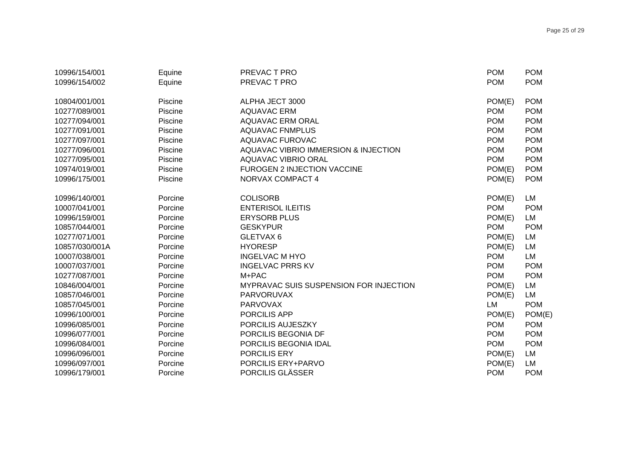| 10996/154/001  | Equine  | PREVAC T PRO                           | <b>POM</b> | <b>POM</b> |
|----------------|---------|----------------------------------------|------------|------------|
| 10996/154/002  | Equine  | PREVAC T PRO                           | <b>POM</b> | <b>POM</b> |
|                |         |                                        |            |            |
| 10804/001/001  | Piscine | ALPHA JECT 3000                        | POM(E)     | <b>POM</b> |
| 10277/089/001  | Piscine | <b>AQUAVAC ERM</b>                     | <b>POM</b> | <b>POM</b> |
| 10277/094/001  | Piscine | <b>AQUAVAC ERM ORAL</b>                | <b>POM</b> | <b>POM</b> |
| 10277/091/001  | Piscine | <b>AQUAVAC FNMPLUS</b>                 | <b>POM</b> | <b>POM</b> |
| 10277/097/001  | Piscine | <b>AQUAVAC FUROVAC</b>                 | <b>POM</b> | <b>POM</b> |
| 10277/096/001  | Piscine | AQUAVAC VIBRIO IMMERSION & INJECTION   | <b>POM</b> | <b>POM</b> |
| 10277/095/001  | Piscine | <b>AQUAVAC VIBRIO ORAL</b>             | <b>POM</b> | <b>POM</b> |
| 10974/019/001  | Piscine | FUROGEN 2 INJECTION VACCINE            | POM(E)     | <b>POM</b> |
| 10996/175/001  | Piscine | NORVAX COMPACT 4                       | POM(E)     | <b>POM</b> |
|                |         |                                        |            |            |
| 10996/140/001  | Porcine | <b>COLISORB</b>                        | POM(E)     | LM         |
| 10007/041/001  | Porcine | <b>ENTERISOL ILEITIS</b>               | <b>POM</b> | <b>POM</b> |
| 10996/159/001  | Porcine | <b>ERYSORB PLUS</b>                    | POM(E)     | LM         |
| 10857/044/001  | Porcine | <b>GESKYPUR</b>                        | <b>POM</b> | <b>POM</b> |
| 10277/071/001  | Porcine | GLETVAX 6                              | POM(E)     | LM         |
| 10857/030/001A | Porcine | <b>HYORESP</b>                         | POM(E)     | LM         |
| 10007/038/001  | Porcine | <b>INGELVAC M HYO</b>                  | <b>POM</b> | LM         |
| 10007/037/001  | Porcine | <b>INGELVAC PRRS KV</b>                | <b>POM</b> | <b>POM</b> |
| 10277/087/001  | Porcine | M+PAC                                  | <b>POM</b> | <b>POM</b> |
| 10846/004/001  | Porcine | MYPRAVAC SUIS SUSPENSION FOR INJECTION | POM(E)     | LM         |
| 10857/046/001  | Porcine | <b>PARVORUVAX</b>                      | POM(E)     | LM         |
| 10857/045/001  | Porcine | <b>PARVOVAX</b>                        | LM         | <b>POM</b> |
| 10996/100/001  | Porcine | PORCILIS APP                           | POM(E)     | POM(E)     |
| 10996/085/001  | Porcine | PORCILIS AUJESZKY                      | <b>POM</b> | <b>POM</b> |
| 10996/077/001  | Porcine | PORCILIS BEGONIA DF                    | <b>POM</b> | <b>POM</b> |
| 10996/084/001  | Porcine | PORCILIS BEGONIA IDAL                  | <b>POM</b> | <b>POM</b> |
| 10996/096/001  | Porcine | PORCILIS ERY                           | POM(E)     | LM         |
| 10996/097/001  | Porcine | <b>PORCILIS ERY+PARVO</b>              | POM(E)     | LM         |
| 10996/179/001  | Porcine | PORCILIS GLÄSSER                       | <b>POM</b> | <b>POM</b> |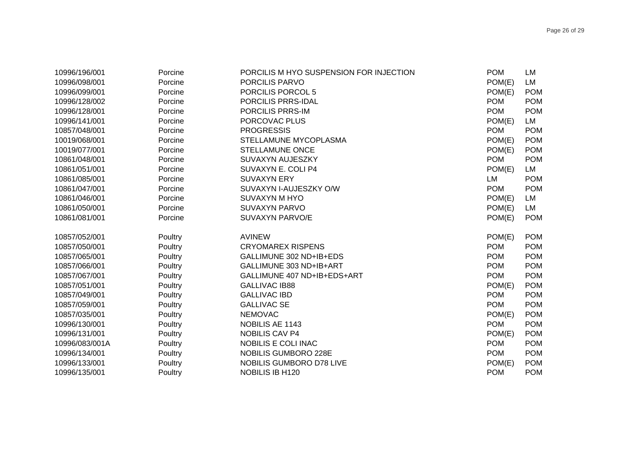| 10996/196/001  | Porcine | PORCILIS M HYO SUSPENSION FOR INJECTION | <b>POM</b> | LM         |
|----------------|---------|-----------------------------------------|------------|------------|
| 10996/098/001  | Porcine | PORCILIS PARVO                          | POM(E)     | LM         |
| 10996/099/001  | Porcine | PORCILIS PORCOL 5                       | POM(E)     | <b>POM</b> |
| 10996/128/002  | Porcine | PORCILIS PRRS-IDAL                      | <b>POM</b> | <b>POM</b> |
| 10996/128/001  | Porcine | PORCILIS PRRS-IM                        | <b>POM</b> | <b>POM</b> |
| 10996/141/001  | Porcine | PORCOVAC PLUS                           | POM(E)     | LM         |
| 10857/048/001  | Porcine | <b>PROGRESSIS</b>                       | <b>POM</b> | <b>POM</b> |
| 10019/068/001  | Porcine | STELLAMUNE MYCOPLASMA                   | POM(E)     | <b>POM</b> |
| 10019/077/001  | Porcine | <b>STELLAMUNE ONCE</b>                  | POM(E)     | <b>POM</b> |
| 10861/048/001  | Porcine | SUVAXYN AUJESZKY                        | <b>POM</b> | <b>POM</b> |
| 10861/051/001  | Porcine | SUVAXYN E. COLI P4                      | POM(E)     | LM         |
| 10861/085/001  | Porcine | <b>SUVAXYN ERY</b>                      | LM         | <b>POM</b> |
| 10861/047/001  | Porcine | SUVAXYN I-AUJESZKY O/W                  | <b>POM</b> | <b>POM</b> |
| 10861/046/001  | Porcine | SUVAXYN M HYO                           | POM(E)     | LM         |
| 10861/050/001  | Porcine | <b>SUVAXYN PARVO</b>                    | POM(E)     | LM         |
| 10861/081/001  | Porcine | SUVAXYN PARVO/E                         | POM(E)     | <b>POM</b> |
|                |         |                                         |            |            |
| 10857/052/001  | Poultry | <b>AVINEW</b>                           | POM(E)     | <b>POM</b> |
| 10857/050/001  | Poultry | <b>CRYOMAREX RISPENS</b>                | <b>POM</b> | <b>POM</b> |
| 10857/065/001  | Poultry | GALLIMUNE 302 ND+IB+EDS                 | <b>POM</b> | <b>POM</b> |
| 10857/066/001  | Poultry | GALLIMUNE 303 ND+IB+ART                 | <b>POM</b> | <b>POM</b> |
| 10857/067/001  | Poultry | GALLIMUNE 407 ND+IB+EDS+ART             | <b>POM</b> | <b>POM</b> |
| 10857/051/001  | Poultry | <b>GALLIVAC IB88</b>                    | POM(E)     | <b>POM</b> |
| 10857/049/001  | Poultry | <b>GALLIVAC IBD</b>                     | <b>POM</b> | <b>POM</b> |
| 10857/059/001  | Poultry | <b>GALLIVAC SE</b>                      | <b>POM</b> | <b>POM</b> |
| 10857/035/001  | Poultry | <b>NEMOVAC</b>                          | POM(E)     | <b>POM</b> |
| 10996/130/001  | Poultry | NOBILIS AE 1143                         | <b>POM</b> | <b>POM</b> |
| 10996/131/001  | Poultry | <b>NOBILIS CAV P4</b>                   | POM(E)     | <b>POM</b> |
| 10996/083/001A | Poultry | NOBILIS E COLI INAC                     | <b>POM</b> | <b>POM</b> |
| 10996/134/001  | Poultry | NOBILIS GUMBORO 228E                    | <b>POM</b> | <b>POM</b> |
| 10996/133/001  | Poultry | NOBILIS GUMBORO D78 LIVE                | POM(E)     | <b>POM</b> |
| 10996/135/001  | Poultry | <b>NOBILIS IB H120</b>                  | <b>POM</b> | <b>POM</b> |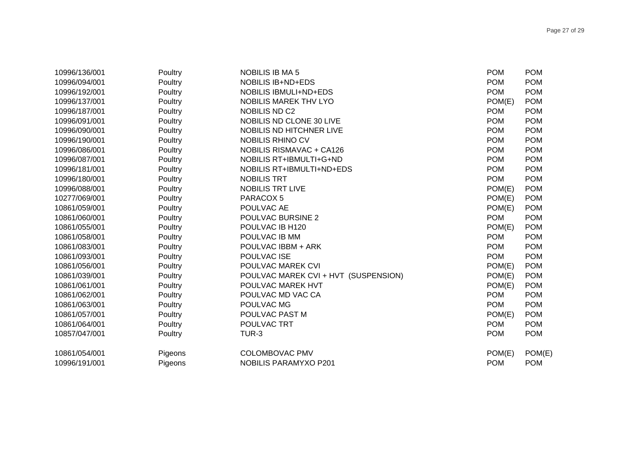| 10996/136/001 | Poultry | <b>NOBILIS IB MA 5</b>               | <b>POM</b> | <b>POM</b> |
|---------------|---------|--------------------------------------|------------|------------|
| 10996/094/001 | Poultry | <b>NOBILIS IB+ND+EDS</b>             | <b>POM</b> | <b>POM</b> |
| 10996/192/001 | Poultry | <b>NOBILIS IBMULI+ND+EDS</b>         | <b>POM</b> | <b>POM</b> |
| 10996/137/001 | Poultry | <b>NOBILIS MAREK THV LYO</b>         | POM(E)     | <b>POM</b> |
| 10996/187/001 | Poultry | <b>NOBILIS ND C2</b>                 | <b>POM</b> | <b>POM</b> |
| 10996/091/001 | Poultry | NOBILIS ND CLONE 30 LIVE             | <b>POM</b> | <b>POM</b> |
| 10996/090/001 | Poultry | NOBILIS ND HITCHNER LIVE             | <b>POM</b> | <b>POM</b> |
| 10996/190/001 | Poultry | NOBILIS RHINO CV                     | <b>POM</b> | <b>POM</b> |
| 10996/086/001 | Poultry | <b>NOBILIS RISMAVAC + CA126</b>      | <b>POM</b> | <b>POM</b> |
| 10996/087/001 | Poultry | NOBILIS RT+IBMULTI+G+ND              | <b>POM</b> | <b>POM</b> |
| 10996/181/001 | Poultry | NOBILIS RT+IBMULTI+ND+EDS            | <b>POM</b> | <b>POM</b> |
| 10996/180/001 | Poultry | <b>NOBILIS TRT</b>                   | <b>POM</b> | <b>POM</b> |
| 10996/088/001 | Poultry | <b>NOBILIS TRT LIVE</b>              | POM(E)     | <b>POM</b> |
| 10277/069/001 | Poultry | PARACOX 5                            | POM(E)     | <b>POM</b> |
| 10861/059/001 | Poultry | POULVAC AE                           | POM(E)     | <b>POM</b> |
| 10861/060/001 | Poultry | POULVAC BURSINE 2                    | <b>POM</b> | <b>POM</b> |
| 10861/055/001 | Poultry | POULVAC IB H120                      | POM(E)     | <b>POM</b> |
| 10861/058/001 | Poultry | POULVAC IB MM                        | <b>POM</b> | <b>POM</b> |
| 10861/083/001 | Poultry | POULVAC IBBM + ARK                   | <b>POM</b> | <b>POM</b> |
| 10861/093/001 | Poultry | POULVAC ISE                          | <b>POM</b> | <b>POM</b> |
| 10861/056/001 | Poultry | POULVAC MAREK CVI                    | POM(E)     | <b>POM</b> |
| 10861/039/001 | Poultry | POULVAC MAREK CVI + HVT (SUSPENSION) | POM(E)     | <b>POM</b> |
| 10861/061/001 | Poultry | POULVAC MAREK HVT                    | POM(E)     | <b>POM</b> |
| 10861/062/001 | Poultry | POULVAC MD VAC CA                    | <b>POM</b> | <b>POM</b> |
| 10861/063/001 | Poultry | POULVAC MG                           | <b>POM</b> | <b>POM</b> |
| 10861/057/001 | Poultry | POULVAC PAST M                       | POM(E)     | <b>POM</b> |
| 10861/064/001 | Poultry | POULVAC TRT                          | <b>POM</b> | <b>POM</b> |
| 10857/047/001 | Poultry | TUR-3                                | <b>POM</b> | <b>POM</b> |
| 10861/054/001 | Pigeons | <b>COLOMBOVAC PMV</b>                | POM(E)     | POM(E)     |
| 10996/191/001 | Pigeons | <b>NOBILIS PARAMYXO P201</b>         | <b>POM</b> | <b>POM</b> |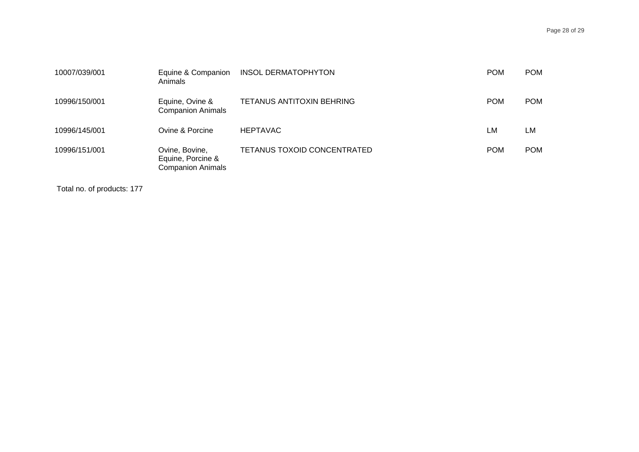| 10007/039/001 | Equine & Companion<br>Animals                                   | <b>INSOL DERMATOPHYTON</b>         | <b>POM</b> | <b>POM</b> |
|---------------|-----------------------------------------------------------------|------------------------------------|------------|------------|
| 10996/150/001 | Equine, Ovine &<br><b>Companion Animals</b>                     | TETANUS ANTITOXIN BEHRING          | <b>POM</b> | <b>POM</b> |
| 10996/145/001 | Ovine & Porcine                                                 | <b>HEPTAVAC</b>                    | LM         | LM         |
| 10996/151/001 | Ovine, Bovine,<br>Equine, Porcine &<br><b>Companion Animals</b> | <b>TETANUS TOXOID CONCENTRATED</b> | <b>POM</b> | <b>POM</b> |

Total no. of products: 177